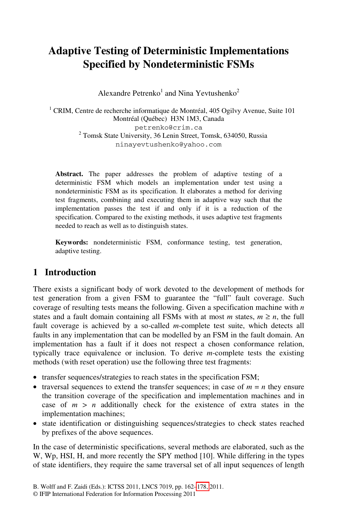# **Adaptive Testing of Deterministic Implementations Specified by Nondeterministic FSMs**

Alexandre Petrenko<sup>1</sup> and Nina Yevtushenko<sup>2</sup>

<sup>1</sup> CRIM, Centre de recherche informatique de Montréal, 405 Ogilvy Avenue, Suite 101 Montréal (Québec) H3N 1M3, Canada petrenko@crim.ca <sup>2</sup> Tomsk State University, 36 Lenin Street, Tomsk, 634050, Russia ninayevtushenko@yahoo.com

**Abstract.** The paper addresses the problem of adaptive testing of a deterministic FSM which models an implementation under test using a nondeterministic FSM as its specification. It elaborates a method for deriving test fragments, combining and executing them in adaptive way such that the implementation passes the test if and only if it is a reduction of the specification. Compared to the existing methods, it uses adaptive test fragments needed to reach as well as to distinguish states.

**Keywords:** nondeterministic FSM, conformance testing, test generation, adaptive testing.

## **1 Introduction**

There exists a significant body of work devoted to the development of methods for test generation from a given FSM to guarantee the "full" fault coverage. Such coverage of resulting tests means the following. Given a specification machine with *n* states and a fault domain containing all FSMs with at most *m* states,  $m \ge n$ , the full fault coverage is achieved by a so-called *m*-complete test suite, which detects all faults in any implementation that can be modelled by an FSM in the fault domain. An implementation has a fault if it does not respect a chosen conformance relation, typically trace equivalence or inclusion. To derive *m*-complete tests the existing methods (with reset operation) use the following three test fragments:

- transfer sequences/strategies to reach states in the specification FSM;
- traversal sequences to extend the transfer sequences; in case of  $m = n$  they ensure the transition coverage of the specification and implementation machines and in case of  $m > n$  additionally check for the existence of extra states in the implementation machines;
- state identification or distinguishing sequences/strategies to check states reached by prefixes of the above sequences.

In the case of deterministic specifications, several methods are elaborated, such as the W, Wp, HSI, H, and more recently the SPY method [10]. While differing in the types of state identifiers, they require the same traversal set of all input sequences of length

<sup>©</sup> IFIP International Federation for Information Processing 2011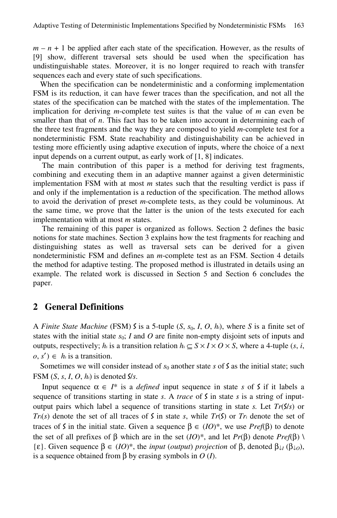$m - n + 1$  be applied after each state of the specification. However, as the results of [9] show, different traversal sets should be used when the specification has undistinguishable states. Moreover, it is no longer required to reach with transfer sequences each and every state of such specifications.

When the specification can be nondeterministic and a conforming implementation FSM is its reduction, it can have fewer traces than the specification, and not all the states of the specification can be matched with the states of the implementation. The implication for deriving *m*-complete test suites is that the value of *m* can even be smaller than that of *n*. This fact has to be taken into account in determining each of the three test fragments and the way they are composed to yield *m*-complete test for a nondeterministic FSM. State reachability and distinguishability can be achieved in testing more efficiently using adaptive execution of inputs, where the choice of a next input depends on a current output, as early work of [1, 8] indicates.

The main contribution of this paper is a method for deriving test fragments, combining and executing them in an adaptive manner against a given deterministic implementation FSM with at most *m* states such that the resulting verdict is pass if and only if the implementation is a reduction of the specification. The method allows to avoid the derivation of preset *m*-complete tests, as they could be voluminous. At the same time, we prove that the latter is the union of the tests executed for each implementation with at most *m* states.

The remaining of this paper is organized as follows. Section 2 defines the basic notions for state machines. Section 3 explains how the test fragments for reaching and distinguishing states as well as traversal sets can be derived for a given nondeterministic FSM and defines an *m*-complete test as an FSM. Section 4 details the method for adaptive testing. The proposed method is illustrated in details using an example. The related work is discussed in Section 5 and Section 6 concludes the paper.

### **2 General Definitions**

A *Finite State Machine* (FSM) S is a 5-tuple  $(S, s_0, I, O, h)$ , where *S* is a finite set of states with the initial state  $s_0$ ; *I* and *O* are finite non-empty disjoint sets of inputs and outputs, respectively; *h* is a transition relation  $h \subseteq S \times I \times O \times S$ , where a 4-tuple (*s*, *i*,  $o, s'$ )  $\in$  *h*<sub>s</sub> is a transition.

Sometimes we will consider instead of  $s_0$  another state *s* of **S** as the initial state; such FSM  $(S, s, I, O, h_s)$  is denoted  $S/s$ .

Input sequence  $\alpha \in I^*$  is a *defined* input sequence in state *s* of **S** if it labels a sequence of transitions starting in state *s*. A *trace* of  $\zeta$  in state *s* is a string of inputoutput pairs which label a sequence of transitions starting in state *s*. Let  $Tr(S/s)$  or *Tr*(s) denote the set of all traces of  $\zeta$  in state *s*, while  $Tr(\zeta)$  or  $Tr_S$  denote the set of traces of S in the initial state. Given a sequence β ∈ (*IO*)\*, we use *Pref*(β) to denote the set of all prefixes of β which are in the set  $(IO)^*$ , and let  $Pr(β)$  denote  $Pref(β) \setminus$ {ε}. Given sequence β ∈ (*IO*)\*, the *input* (*output*) *projection* of β, denoted β↓*I* (β↓*O*), is a sequence obtained from β by erasing symbols in *O* (*I*).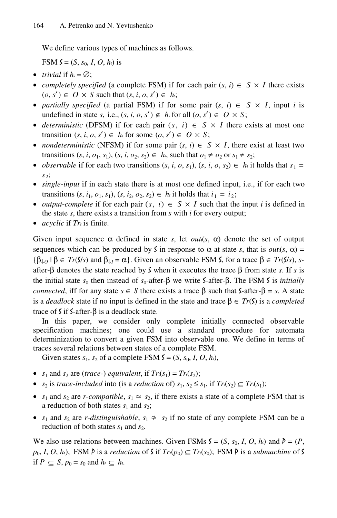We define various types of machines as follows.

**FSM**  $\zeta = (S, s_0, I, O, h_s)$  is

- *trivial* if  $h_s = \emptyset$ ;
- *completely specified* (a complete FSM) if for each pair  $(s, i) \in S \times I$  there exists  $(o, s') ∈ O \times S$  such that  $(s, i, o, s') ∈ h$ ;
- *partially specified* (a partial FSM) if for some pair  $(s, i) \in S \times I$ , input *i* is undefined in state *s*, i.e.,  $(s, i, o, s') \notin h$  for all  $(o, s') \in O \times S$ ;
- *deterministic* (DFSM) if for each pair  $(s, i) \in S \times I$  there exists at most one transition  $(s, i, o, s') \in h$  for some  $(o, s') \in O \times S$ ;
- *nondeterministic* (NFSM) if for some pair  $(s, i) \in S \times I$ , there exist at least two transitions  $(s, i, o_1, s_1)$ ,  $(s, i, o_2, s_2) \in h$ , such that  $o_1 \neq o_2$  or  $s_1 \neq s_2$ ;
- *observable* if for each two transitions  $(s, i, o, s_1)$ ,  $(s, i, o, s_2) \in h$  it holds that  $s_1 =$  $s_2$ ;
- *single-input* if in each state there is at most one defined input, i.e., if for each two transitions (*s*, *i*<sub>1</sub>, *o*<sub>1</sub>, *s*<sub>1</sub>), (*s*, *i*<sub>2</sub>, *o*<sub>2</sub>, *s*<sub>2</sub>) ∈ *h*<sub>s</sub> it holds that *i*<sub>1</sub> = *i*<sub>2</sub>;
- *output-complete* if for each pair  $(s, i) \in S \times I$  such that the input *i* is defined in the state *s*, there exists a transition from *s* with *i* for every output;
- *acyclic* if  $Tr<sub>s</sub>$  is finite.

Given input sequence  $\alpha$  defined in state *s*, let *out*s(*s*,  $\alpha$ ) denote the set of output sequences which can be produced by  $\zeta$  in response to  $\alpha$  at state *s*, that is *out* $(s, \alpha)$  =  ${\beta_{\downarrow o} \mid \beta \in Tr(S/s) \text{ and } \beta_{\downarrow} = \alpha}$ . Given an observable FSM S, for a trace  $\beta \in Tr(S/s)$ , *s*after-β denotes the state reached by S when it executes the trace β from state *s*. If *s* is the initial state *s*<sub>0</sub> then instead of *s*<sub>0</sub>-after-β we write *S*-after-β. The FSM *S* is *initially connected*, iff for any state  $s \in S$  there exists a trace  $\beta$  such that S-after- $\beta = s$ . A state is a *deadlock* state if no input is defined in the state and trace β ∈ *Tr*(S) is a *completed* trace of S if S*-*after-β is a deadlock state.

In this paper, we consider only complete initially connected observable specification machines; one could use a standard procedure for automata determinization to convert a given FSM into observable one. We define in terms of traces several relations between states of a complete FSM.

Given states  $s_1$ ,  $s_2$  of a complete FSM  $\zeta = (S, s_0, I, O, h_s)$ ,

- $s_1$  and  $s_2$  are (*trace-*) *equivalent*, if  $Tr(s_1) = Tr(s_2)$ ;
- *s*<sub>2</sub> is *trace-included* into (is a *reduction* of)  $s_1$ ,  $s_2 \leq s_1$ , if  $Tr(s_2) \subseteq Tr(s_1)$ ;
- $s_1$  and  $s_2$  are *r*-*compatible*,  $s_1 \approx s_2$ , if there exists a state of a complete FSM that is a reduction of both states  $s_1$  and  $s_2$ ;
- $s_1$  and  $s_2$  are *r*-*distinguishable*,  $s_1 \neq s_2$  if no state of any complete FSM can be a reduction of both states  $s_1$  and  $s_2$ .

We also use relations between machines. Given FSMs  $\zeta = (S, s_0, I, O, h_s)$  and  $\zeta = (P, s_0, I, O, h_s)$  $p_0$ , *I*, *O*, *h*<sub>p</sub>), FSM  $\beta$  is a *reduction* of S if  $Tr(p_0) \subseteq Tr(s_0)$ ; FSM  $\beta$  is a *submachine* of S if *P* ⊆ *S*,  $p_0 = s_0$  and  $h$ <sup>p</sup> ⊆  $h$ s.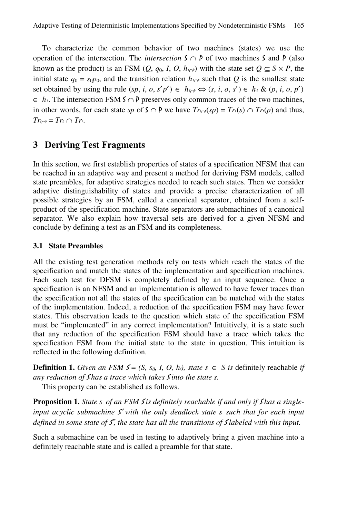To characterize the common behavior of two machines (states) we use the operation of the intersection. The *intersection* S ∩ P of two machines S and P (also known as the product) is an FSM  $(Q, q_0, I, O, h_{\gamma \gamma})$  with the state set  $Q \subseteq S \times P$ , the initial state  $q_0 = s_0 p_0$ , and the transition relation  $h_{\gamma\gamma}$  such that *Q* is the smallest state set obtained by using the rule  $(sp, i, o, s'p') \in h_{\forall} \Leftrightarrow (s, i, o, s') \in h \& (p, i, o, p')$ ∈ *h*<sub>P</sub>. The intersection FSM  $\zeta \cap P$  preserves only common traces of the two machines, in other words, for each state *sp* of **S** ∩ *P* we have  $Tr_{\gamma\gamma}(sp) = Tr(s) ∩ Tr(p)$  and thus,  $Tr_{S \cap P} = Tr_S \cap Tr_P.$ 

## **3 Deriving Test Fragments**

In this section, we first establish properties of states of a specification NFSM that can be reached in an adaptive way and present a method for deriving FSM models, called state preambles, for adaptive strategies needed to reach such states. Then we consider adaptive distinguishability of states and provide a precise characterization of all possible strategies by an FSM, called a canonical separator, obtained from a selfproduct of the specification machine. State separators are submachines of a canonical separator. We also explain how traversal sets are derived for a given NFSM and conclude by defining a test as an FSM and its completeness.

#### **3.1 State Preambles**

All the existing test generation methods rely on tests which reach the states of the specification and match the states of the implementation and specification machines. Each such test for DFSM is completely defined by an input sequence. Once a specification is an NFSM and an implementation is allowed to have fewer traces than the specification not all the states of the specification can be matched with the states of the implementation. Indeed, a reduction of the specification FSM may have fewer states. This observation leads to the question which state of the specification FSM must be "implemented" in any correct implementation? Intuitively, it is a state such that any reduction of the specification FSM should have a trace which takes the specification FSM from the initial state to the state in question. This intuition is reflected in the following definition.

**Definition 1.** *Given an FSM*  $S = (S, s_0, I, O, h_0)$ *, state*  $s \in S$  *is definitely reachable if any reduction of* S *has a trace which takes* S *into the state s.* 

This property can be established as follows.

**Proposition 1.** *State s of an FSM S is definitely reachable if and only if S has a singleinput acyclic submachine* S′ *with the only deadlock state s such that for each input defined in some state of* S′*, the state has all the transitions of* S *labeled with this input.*

Such a submachine can be used in testing to adaptively bring a given machine into a definitely reachable state and is called a preamble for that state.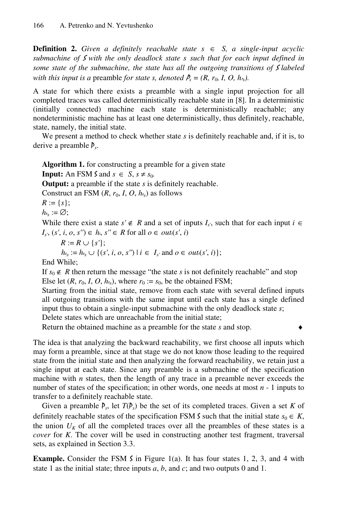**Definition 2.** *Given a definitely reachable state s*  $\in$  *S, a single-input acyclic submachine of* S *with the only deadlock state s such that for each input defined in some state of the submachine, the state has all the outgoing transitions of S labeled with this input is a preamble for state s, denoted*  $P_s = (R, r_0, I, O, h_s)$ *.* 

A state for which there exists a preamble with a single input projection for all completed traces was called deterministically reachable state in [8]. In a deterministic (initially connected) machine each state is deterministically reachable; any nondeterministic machine has at least one deterministically, thus definitely, reachable, state, namely, the initial state.

We present a method to check whether state *s* is definitely reachable and, if it is, to derive a preamble P*s*.

**Algorithm 1.** for constructing a preamble for a given state **Input:** An FSM  $\zeta$  and  $s \in S$ ,  $s \neq s_0$ .

**Output:** a preamble if the state *s* is definitely reachable.

Construct an FSM  $(R, r_0, I, O, h_s)$  as follows

 $R := \{s\};$ 

 $h_{\kappa} := \emptyset$ ;

While there exist a state  $s' \notin R$  and a set of inputs  $I_s$ , such that for each input  $i \in$  $I_{s'}$ ,  $(s', i, o, s'') \in h_s$ ,  $s'' \in R$  for all  $o \in out_s(s', i)$ 

 $R := R \cup \{s'\};$  $h_{\mathcal{R}_S} := h_{\mathcal{R}_S} \cup \{ (s', i, o, s'') \mid i \in I_{s'} \text{ and } o \in out(s', i) \};$ 

End While;

If  $s_0$  ∉ *R* then return the message "the state *s* is not definitely reachable" and stop Else let  $(R, r_0, I, O, h_s)$ , where  $r_0 := s_0$ , be the obtained FSM;

Starting from the initial state, remove from each state with several defined inputs all outgoing transitions with the same input until each state has a single defined input thus to obtain a single-input submachine with the only deadlock state *s*;

Delete states which are unreachable from the initial state;

Return the obtained machine as a preamble for the state *s* and stop.

The idea is that analyzing the backward reachability, we first choose all inputs which may form a preamble, since at that stage we do not know those leading to the required state from the initial state and then analyzing the forward reachability, we retain just a single input at each state. Since any preamble is a submachine of the specification machine with *n* states, then the length of any trace in a preamble never exceeds the number of states of the specification; in other words, one needs at most *n* - 1 inputs to transfer to a definitely reachable state.

Given a preamble  $P_s$ , let  $T(P_s)$  be the set of its completed traces. Given a set *K* of definitely reachable states of the specification FSM S such that the initial state  $s_0 \in K$ , the union  $U_K$  of all the completed traces over all the preambles of these states is a *cover* for *K*. The cover will be used in constructing another test fragment, traversal sets, as explained in Section 3.3.

**Example.** Consider the FSM  $\zeta$  in Figure 1(a). It has four states 1, 2, 3, and 4 with state 1 as the initial state; three inputs *a*, *b*, and *c*; and two outputs 0 and 1.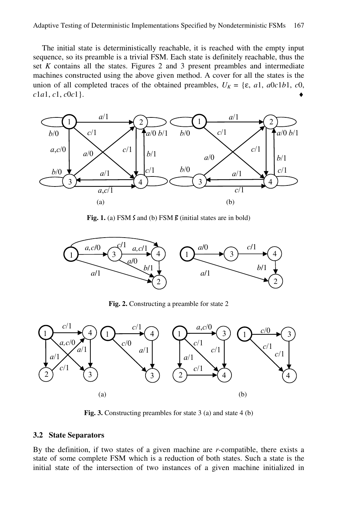The initial state is deterministically reachable, it is reached with the empty input sequence, so its preamble is a trivial FSM. Each state is definitely reachable, thus the set *K* contains all the states. Figures 2 and 3 present preambles and intermediate machines constructed using the above given method. A cover for all the states is the union of all completed traces of the obtained preambles,  $U_K = \{\varepsilon, a1, a0c1b1, c0,$ *c*1*a*1, *c*1, *c*0*c*1}. ♦



**Fig. 1.** (a) FSM S and (b) FSM B (initial states are in bold)



**Fig. 2.** Constructing a preamble for state 2



**Fig. 3.** Constructing preambles for state 3 (a) and state 4 (b)

#### **3.2 State Separators**

By the definition, if two states of a given machine are *r*-compatible, there exists a state of some complete FSM which is a reduction of both states. Such a state is the initial state of the intersection of two instances of a given machine initialized in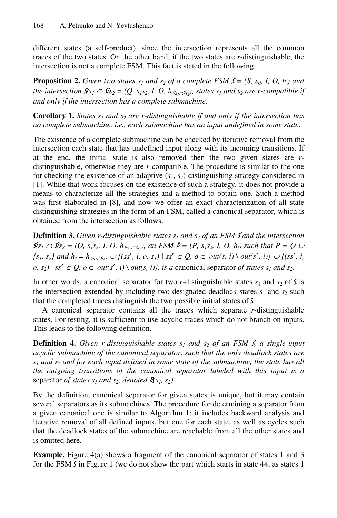different states (a self-product), since the intersection represents all the common traces of the two states. On the other hand, if the two states are *r*-distinguishable, the intersection is not a complete FSM. This fact is stated in the following.

**Proposition 2.** *Given two states s<sub>1</sub> and s<sub>2</sub> of a complete FSM*  $\zeta = (S, s_0, I, O, h)$  *and the intersection*  $\mathcal{S}_{s_1} \cap \mathcal{S}_{s_2} = (Q, s_1 s_2, I, O, h_{\mathcal{S}_{s_1} \cap \mathcal{S}_{s_2}})$ *, states*  $s_1$  *and*  $s_2$  *are r-compatible if and only if the intersection has a complete submachine.*

**Corollary 1.** *States s<sub>1</sub> and s<sub>2</sub> are r-distinguishable if and only if the intersection has no complete submachine, i.e., each submachine has an input undefined in some state.*

The existence of a complete submachine can be checked by iterative removal from the intersection each state that has undefined input along with its incoming transitions. If at the end, the initial state is also removed then the two given states are *r*distinguishable, otherwise they are *r-*compatible. The procedure is similar to the one for checking the existence of an adaptive  $(s_1, s_2)$ -distinguishing strategy considered in [1]. While that work focuses on the existence of such a strategy, it does not provide a means to characterize all the strategies and a method to obtain one. Such a method was first elaborated in [8], and now we offer an exact characterization of all state distinguishing strategies in the form of an FSM, called a canonical separator, which is obtained from the intersection as follows.

**Definition 3.** *Given r-distinguishable states*  $s_1$  *and*  $s_2$  *of an FSM S and the intersection*  $\mathcal{S}_1 \cap \mathcal{S}_2 = (Q, s_1 s_2, I, O, h_{\mathcal{S}_1 \cap \mathcal{S}_2})$ , an FSM  $P = (P, s_1 s_2, I, O, h)$  such that  $P = Q \cup$ *{s<sub>1</sub>, s<sub>2</sub>} and h<sub>P</sub> = h<sub>9s1∩9s<sub>2</sub></sub> ∪ {(ss', i, o, s<sub>1</sub>) | ss' ∈ Q, o ∈ out(s, i) \ out(s', i)} ∪ {(ss', i, o, s<sub>2</sub>*) | *ss'* ∈ *Q, o* ∈ *out(s', i)* \ *out(s, i)}, is a* canonical separator *of states s<sub>1</sub> and s<sub>2</sub>.* 

In other words, a canonical separator for two *r*-distinguishable states  $s_1$  and  $s_2$  of  $\zeta$  is the intersection extended by including two designated deadlock states  $s_1$  and  $s_2$  such that the completed traces distinguish the two possible initial states of S.

A canonical separator contains all the traces which separate *r*-distinguishable states. For testing, it is sufficient to use acyclic traces which do not branch on inputs. This leads to the following definition.

**Definition 4.** *Given r-distinguishable states*  $s_1$  *and*  $s_2$  *of an FSM*  $\zeta$  *a single-input acyclic submachine of the canonical separator, such that the only deadlock states are*   $s_1$  and  $s_2$  and for each input defined in some state of the submachine, the state has all *the outgoing transitions of the canonical separator labeled with this input is a*  separator *of states*  $s_1$  *and*  $s_2$ *, denoted*  $\mathcal{R}(s_1, s_2)$ *.* 

By the definition, canonical separator for given states is unique, but it may contain several separators as its submachines. The procedure for determining a separator from a given canonical one is similar to Algorithm 1; it includes backward analysis and iterative removal of all defined inputs, but one for each state, as well as cycles such that the deadlock states of the submachine are reachable from all the other states and is omitted here.

**Example.** Figure 4(a) shows a fragment of the canonical separator of states 1 and 3 for the FSM  $\zeta$  in Figure 1 (we do not show the part which starts in state 44, as states 1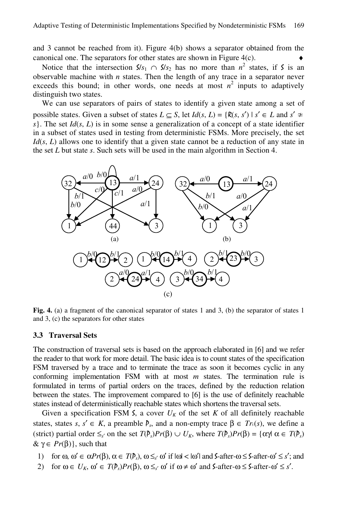and 3 cannot be reached from it). Figure 4(b) shows a separator obtained from the canonical one. The separators for other states are shown in Figure  $4(c)$ .

Notice that the intersection  $\zeta/s_1 \cap \zeta/s_2$  has no more than  $n^2$  states, if  $\zeta$  is an observable machine with *n* states. Then the length of any trace in a separator never exceeds this bound; in other words, one needs at most  $n^2$  inputs to adaptively distinguish two states.

We can use separators of pairs of states to identify a given state among a set of possible states. Given a subset of states  $L \subset S$ , let  $Id(s, L) = \{R(s, s') | s' \in L \text{ and } s' \neq s \}$ *s*}. The set *Id*(*s*, *L*) is in some sense a generalization of a concept of a state identifier in a subset of states used in testing from deterministic FSMs. More precisely, the set *Id*(*s*, *L*) allows one to identify that a given state cannot be a reduction of any state in the set *L* but state *s*. Such sets will be used in the main algorithm in Section 4.



**Fig. 4.** (a) a fragment of the canonical separator of states 1 and 3, (b) the separator of states 1 and 3, (c) the separators for other states

#### **3.3 Traversal Sets**

The construction of traversal sets is based on the approach elaborated in [6] and we refer the reader to that work for more detail. The basic idea is to count states of the specification FSM traversed by a trace and to terminate the trace as soon it becomes cyclic in any conforming implementation FSM with at most *m* states. The termination rule is formulated in terms of partial orders on the traces, defined by the reduction relation between the states. The improvement compared to [6] is the use of definitely reachable states instead of deterministically reachable states which shortens the traversal sets.

Given a specification FSM S, a cover  $U_K$  of the set K of all definitely reachable states, states *s*,  $s' \in K$ , a preamble  $P_s$ , and a non-empty trace  $\beta \in Tr(s)$ , we define a (strict) partial order  $\leq$ <sub>s</sub>′ on the set  $T(P_s)Pr(\beta) \cup U_K$ , where  $T(P_s)Pr(\beta) = {\alpha \gamma \alpha \in T(P_s)}$  $& \gamma \in Pr(β)$ }, such that

- 1) for  $\omega$ ,  $\omega' \in \alpha Pr(\beta)$ ,  $\alpha \in T(\beta)$ ,  $\omega \leq_{s'} \omega'$  if  $|\omega| < |\omega'|$  and  $\zeta$ -after- $\omega \leq \zeta$ -after- $\omega' \leq s'$ ; and
- 2) for  $ω ∈ U_K$ ,  $ω' ∈ T(P_s)Pr(β)$ ,  $ω ≤<sub>s</sub>′ ω'$  if  $ω ≠ ω'$  and S-after-ω ≤ S-after-ω' ≤ s'.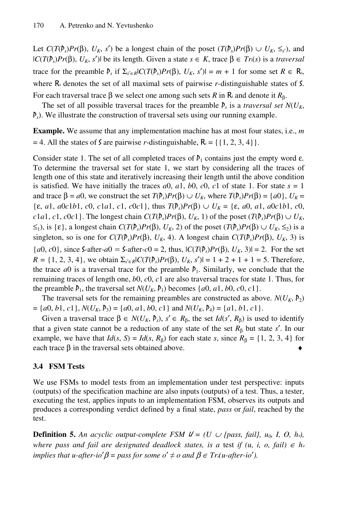Let  $C(T(\mathcal{P}_s)Pr(\mathcal{B}), U_K, s')$  be a longest chain of the poset  $(T(\mathcal{P}_s)Pr(\mathcal{B}) \cup U_K, \leq'_s)$ , and  $|C(T(\mathcal{P}_s)Pr(\mathcal{B}), U_K, s')|$  be its length. Given a state  $s \in K$ , trace  $\beta \in Tr(s)$  is a *traversal* trace for the preamble  $P_s$  if  $\Sigma_{s' \in R}$  $|C(T(P_s)Pr(\beta), U_K, s')| = m + 1$  for some set  $R \in R_s$ , where  $\mathsf{R}_s$  denotes the set of all maximal sets of pairwise *r*-distinguishable states of  $\mathsf{S}$ .

For each traversal trace β we select one among such sets *R* in **R**<sub>s</sub> and denote it  $R<sub>β</sub>$ .

The set of all possible traversal traces for the preamble  $P_s$  is a *traversal set*  $N(U_K)$ , P*s*). We illustrate the construction of traversal sets using our running example.

**Example.** We assume that any implementation machine has at most four states, i.e., *m*   $= 4$ . All the states of **S** are pairwise *r*-distinguishable,  $R_s = \{ \{1, 2, 3, 4\} \}.$ 

Consider state 1. The set of all completed traces of  $P_1$  contains just the empty word  $\varepsilon$ . To determine the traversal set for state 1, we start by considering all the traces of length one of this state and iteratively increasing their length until the above condition is satisfied. We have initially the traces  $a0$ ,  $a1$ ,  $b0$ ,  $c0$ ,  $c1$  of state 1. For state  $s = 1$ and trace  $\beta = a_0$ , we construct the set  $T(\beta)P(r(\beta)) \cup U_K$ , where  $T(\beta)P(r(\beta)) = \{a_0\}$ ,  $U_K =$  $\{\varepsilon, a_1, a_0c_1b_1, c_0, c_1a_1, c_1, c_0c_1\}, \text{ thus } T(\mathcal{P}_s)Pr(\beta) \cup U_K = \{\varepsilon, a_0, a_1, a_0c_1b_1, c_0, c_1a_1, c_1, c_0, c_1b_1, c_0, c_1b_1, c_1, c_1c_1, c_1c_1, c_1c_1, c_1c_1, c_1c_1, c_1c_1, c_1c_1, c_1c_1, c_1c_1, c_1c_1, c_1c_1, c_1c_1, c_1c_$ *c*1*a*1, *c*1, *c*0*c*1}. The longest chain  $C(T(\mathcal{P}_s)Pr(\mathcal{B}), U_K, 1)$  of the poset  $(T(\mathcal{P}_s)Pr(\mathcal{B}) \cup U_K,$  $\leq$ <sub>1</sub>), is {ε}, a longest chain *C*(*T*(*P<sub>s</sub>*)*Pr*(β), *U<sub>K</sub>*, 2) of the poset (*T*(*P<sub>s</sub>*)*Pr*(β) ∪ *U<sub>K</sub>*, ≤<sub>2</sub>) is a singleton, so is one for  $C(T(\mathcal{P}_s)Pr(\mathcal{B}), U_K, 4)$ . A longest chain  $C(T(\mathcal{P}_s)Pr(\mathcal{B}), U_K, 3)$  is  ${a_0, c_0}$ , since S-after- $a_0 =$  S-after- $c_0 = 2$ , thus,  $|C(T(\mathcal{P}_s)Pr(\mathcal{B}), U_K, 3)| = 2$ . For the set *R* = {1, 2, 3, 4}, we obtain  $\Sigma_{s' \in R}$  $|C(T(\mathcal{P}_s)Pr(\mathcal{B}), U_K, s')| = 1 + 2 + 1 + 1 = 5$ . Therefore, the trace  $a0$  is a traversal trace for the preamble  $P_1$ . Similarly, we conclude that the remaining traces of length one, *b*0, *c*0, *c*1 are also traversal traces for state 1. Thus, for the preamble  $P_1$ , the traversal set  $N(U_K, P_1)$  becomes  $\{a0, a1, b0, c0, c1\}$ .

The traversal sets for the remaining preambles are constructed as above.  $N(U_K, P_2)$  $= \{a0, b1, c1\}, N(U_K, P_3) = \{a0, a1, b0, c1\}$  and  $N(U_K, P_4) = \{a1, b1, c1\}.$ 

Given a traversal trace  $\beta \in N(U_K, \mathcal{P}_s)$ ,  $s' \in R_\beta$ , the set  $Id(s', R_\beta)$  is used to identify that a given state cannot be a reduction of any state of the set  $R_\beta$  but state *s'*. In our example, we have that  $Id(s, S) = Id(s, R_\beta)$  for each state *s*, since  $R_\beta = \{1, 2, 3, 4\}$  for each trace  $\beta$  in the traversal sets obtained above.

### **3.4 FSM Tests**

We use FSMs to model tests from an implementation under test perspective: inputs (outputs) of the specification machine are also inputs (outputs) of a test. Thus, a tester, executing the test, applies inputs to an implementation FSM, observes its outputs and produces a corresponding verdict defined by a final state, *pass* or *fail*, reached by the test.

**Definition 5.** An acyclic output-complete FSM  $U = (U \cup \{pass, fail\}, u_0, I, O, h_0)$ , *where pass and fail are designated deadlock states, is a test if (u, i, o, fail)*  $\in h$ *implies that u-after-io'* $\beta$  = *pass for some o'*  $\neq$  *o and*  $\beta$   $\in$  *Tr* $(u$ -*after-io'*).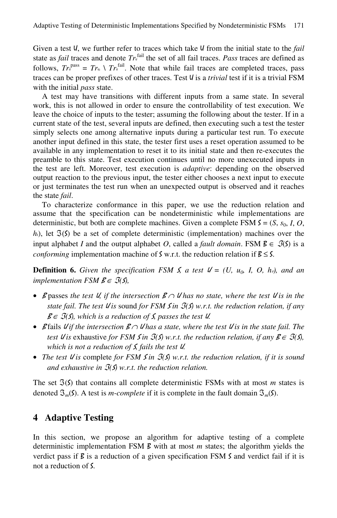Given a test U, we further refer to traces which take U from the initial state to the *fail* state as *fail* traces and denote  $Tr^{[tail]}$  the set of all fail traces. *Pass* traces are defined as follows,  $Tr_{\nu}^{\text{pass}} = Tr_{\nu} \setminus Tr_{\nu}^{\text{fail}}$ . Note that while fail traces are completed traces, pass traces can be proper prefixes of other traces. Test U is a *trivial* test if it is a trivial FSM with the initial *pass* state.

A test may have transitions with different inputs from a same state. In several work, this is not allowed in order to ensure the controllability of test execution. We leave the choice of inputs to the tester; assuming the following about the tester. If in a current state of the test, several inputs are defined, then executing such a test the tester simply selects one among alternative inputs during a particular test run. To execute another input defined in this state, the tester first uses a reset operation assumed to be available in any implementation to reset it to its initial state and then re-executes the preamble to this state. Test execution continues until no more unexecuted inputs in the test are left. Moreover, test execution is *adaptive*: depending on the observed output reaction to the previous input, the tester either chooses a next input to execute or just terminates the test run when an unexpected output is observed and it reaches the state *fail*.

To characterize conformance in this paper, we use the reduction relation and assume that the specification can be nondeterministic while implementations are deterministic, but both are complete machines. Given a complete FSM  $\zeta = (S, s_0, I, O, I)$  $h$ s), let  $\Im(\mathcal{S})$  be a set of complete deterministic (implementation) machines over the input alphabet *I* and the output alphabet *O*, called a *fault domain*. FSM  $\mathcal{B} \in \mathcal{S}(S)$  is a *conforming* implementation machine of  $\zeta$  w.r.t. the reduction relation if  $\zeta \leq \zeta$ .

**Definition 6.** Given the specification FSM  $\zeta$  a test  $U = (U, u_0, I, O, h_1)$ , and an *implementation FSM*  $B \in \mathcal{S}(S)$ *,* 

- B passes *the test* U*, if the intersection* B <sup>∩</sup> U *has no state, where the test* U *is in the state fail. The test* U *is* sound *for FSM* S *in* ℑ*(*S*) w.r.t. the reduction relation, if any*   $B \in \mathcal{S}(S)$ , which is a reduction of  $S$ , passes the test  $U$ .
- B fails U *if the intersection* B <sup>∩</sup> U *has a state, where the test* U *is in the state fail. The test U* is exhaustive for FSM  $\zeta$  in  $\mathfrak{I}(\zeta)$  w.r.t. the reduction relation, if any  $\zeta \in \mathfrak{I}(\zeta)$ , *which is not a reduction of* S*, fails the test* U*.*
- *The test U* is complete for FSM  $\sin \mathcal{S}(s)$  w.r.t. the reduction relation, if it is sound *and exhaustive in* ℑ*(*S*) w.r.t. the reduction relation.*

The set  $\Im(\mathcal{S})$  that contains all complete deterministic FSMs with at most *m* states is denoted  $\mathfrak{S}_m(\mathfrak{S})$ . A test is *m-complete* if it is complete in the fault domain  $\mathfrak{S}_m(\mathfrak{S})$ .

## **4 Adaptive Testing**

In this section, we propose an algorithm for adaptive testing of a complete deterministic implementation FSM B with at most *m* states; the algorithm yields the verdict pass if  $\beta$  is a reduction of a given specification FSM  $\zeta$  and verdict fail if it is not a reduction of S.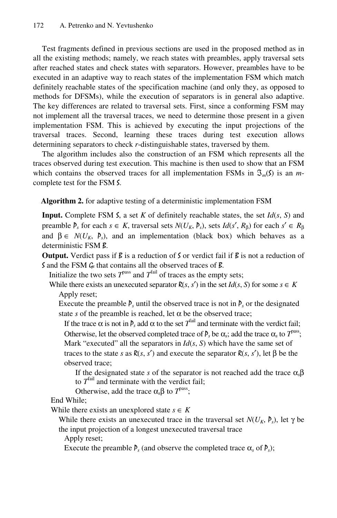Test fragments defined in previous sections are used in the proposed method as in all the existing methods; namely, we reach states with preambles, apply traversal sets after reached states and check states with separators. However, preambles have to be executed in an adaptive way to reach states of the implementation FSM which match definitely reachable states of the specification machine (and only they, as opposed to methods for DFSMs), while the execution of separators is in general also adaptive. The key differences are related to traversal sets. First, since a conforming FSM may not implement all the traversal traces, we need to determine those present in a given implementation FSM. This is achieved by executing the input projections of the traversal traces. Second, learning these traces during test execution allows determining separators to check *r*-distinguishable states, traversed by them.

The algorithm includes also the construction of an FSM which represents all the traces observed during test execution. This machine is then used to show that an FSM which contains the observed traces for all implementation FSMs in  $\mathfrak{S}_m(\mathfrak{S})$  is an *m*complete test for the FSM S.

 **Algorithm 2.** for adaptive testing of a deterministic implementation FSM

**Input.** Complete FSM S, a set *K* of definitely reachable states, the set *Id*(*s*, *S*) and preamble  $P_s$  for each  $s \in K$ , traversal sets  $N(U_K, P_s)$ , sets  $Id(s', R_\beta)$  for each  $s' \in R_\beta$ and  $\beta \in N(U_K, \rho_s)$ , and an implementation (black box) which behaves as a deterministic FSM B.

**Output.** Verdict pass if  $\beta$  is a reduction of  $\zeta$  or verdict fail if  $\beta$  is not a reduction of S and the FSM  $G_{\text{B}}$  that contains all the observed traces of  $\beta$ .

Initialize the two sets  $T<sup>pass</sup>$  and  $T<sup>fail</sup>$  of traces as the empty sets;

While there exists an unexecuted separator  $R(s, s')$  in the set  $Id(s, S)$  for some  $s \in K$ Apply reset;

Execute the preamble  $P_s$  until the observed trace is not in  $P_s$  or the designated state *s* of the preamble is reached, let  $\alpha$  be the observed trace;

If the trace  $\alpha$  is not in  $P_s$  add  $\alpha$  to the set  $T^{\text{fail}}$  and terminate with the verdict fail; Otherwise, let the observed completed trace of  $P_s$  be  $\alpha_s$ ; add the trace  $\alpha_s$  to  $T<sup>pass</sup>$ ; Mark "executed" all the separators in *Id*(*s*, *S*) which have the same set of traces to the state *s* as R(*s*, *s*′) and execute the separator R(*s*, *s*′), let β be the observed trace;

If the designated state *s* of the separator is not reached add the trace  $\alpha$ <sub>s</sub> $\beta$ to  $T<sup>fail</sup>$  and terminate with the verdict fail;

Otherwise, add the trace  $\alpha_s \beta$  to  $T<sup>pass</sup>$ ;

End While;

While there exists an unexplored state  $s \in K$ 

While there exists an unexecuted trace in the traversal set  $N(U_K, P_s)$ , let  $\gamma$  be the input projection of a longest unexecuted traversal trace

Apply reset;

Execute the preamble  $P_s$  (and observe the completed trace  $\alpha_s$  of  $P_s$ );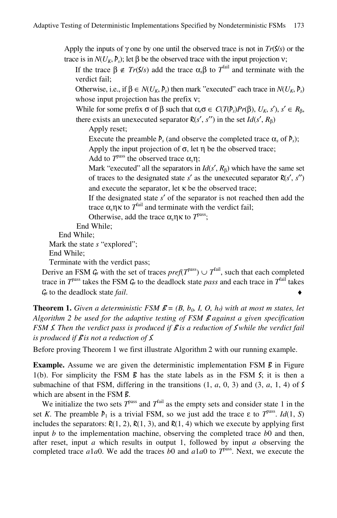Apply the inputs of  $\gamma$  one by one until the observed trace is not in  $Tr(S/s)$  or the trace is in *N*( $U_K$ ,  $P_s$ ); let β be the observed trace with the input projection ν;

If the trace β ∉ *Tr*(S/*s*) add the trace α*s*β to *T*fail and terminate with the verdict fail;

Otherwise, i.e., if  $\beta \in N(U_K, \mathcal{P}_s)$  then mark "executed" each trace in  $N(U_K, \mathcal{P}_s)$ whose input projection has the prefix ν;

While for some prefix σ of β such that  $\alpha_s \sigma \in C(T(\mathcal{P}_s)Pr(\mathcal{B}), U_K, s')$ ,  $s' \in R_\beta$ , there exists an unexecuted separator  $R(s', s'')$  in the set  $Id(s', R_{\beta})$ 

Apply reset;

Execute the preamble  $P_s$  (and observe the completed trace  $\alpha_s$  of  $P_s$ ); Apply the input projection of  $\sigma$ , let  $\eta$  be the observed trace;

Add to  $T<sup>pass</sup>$  the observed trace  $\alpha<sub>s</sub>\eta$ ;

Mark "executed" all the separators in  $Id(s', R_\beta)$  which have the same set of traces to the designated state  $s'$  as the unexecuted separator  $R(s', s'')$ and execute the separator, let  $\kappa$  be the observed trace;

If the designated state *s*′ of the separator is not reached then add the trace  $\alpha$ <sub>s</sub>ηκ to *T*<sup>fail</sup> and terminate with the verdict fail;

Otherwise, add the trace  $\alpha_{\rm s}$ ηκ to  $T^{\rm pass}$ ;

End While;

End While;

```
Mark the state s "explored";
```
End While;

Terminate with the verdict pass;

Derive an FSM  $G_s$  with the set of traces *pref*( $T^{\text{pass}}$ )  $\cup T^{\text{fail}}$ , such that each completed trace in  $T^{\text{pass}}$  takes the FSM  $G_{\text{B}}$  to the deadlock state *pass* and each trace in  $T^{\text{fail}}$  takes  $G_{\text{B}}$  to the deadlock state *fail*.

**Theorem 1.** *Given a deterministic FSM*  $\mathcal{B} = (B, b_0, I, O, h_s)$  *with at most m states, let Algorithm 2 be used for the adaptive testing of FSM* B *against a given specification FSM* S*. Then the verdict pass is produced if* B *is a reduction of* S *while the verdict fail is produced if* B *is not a reduction of* S*.*

Before proving Theorem 1 we first illustrate Algorithm 2 with our running example.

**Example.** Assume we are given the deterministic implementation FSM  $\beta$  in Figure 1(b). For simplicity the FSM B has the state labels as in the FSM S; it is then a submachine of that FSM, differing in the transitions  $(1, a, 0, 3)$  and  $(3, a, 1, 4)$  of  $\zeta$ which are absent in the FSM B.

We initialize the two sets  $T<sup>pass</sup>$  and  $T<sup>fail</sup>$  as the empty sets and consider state 1 in the set *K*. The preamble  $P_1$  is a trivial FSM, so we just add the trace  $\varepsilon$  to  $T<sup>pass</sup>$ . *Id*(1, *S*) includes the separators:  $R(1, 2)$ ,  $R(1, 3)$ , and  $R(1, 4)$  which we execute by applying first input *b* to the implementation machine, observing the completed trace *b*0 and then, after reset, input *a* which results in output 1, followed by input *a* observing the completed trace  $a1a0$ . We add the traces *b*0 and  $a1a0$  to  $T<sup>pass</sup>$ . Next, we execute the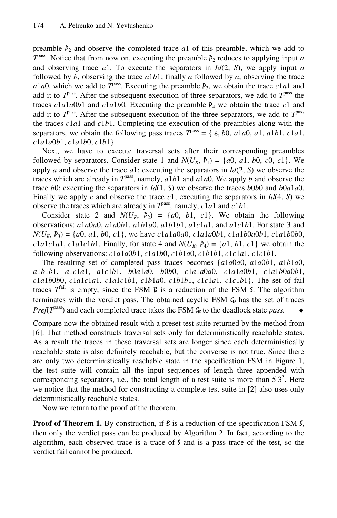preamble  $P_2$  and observe the completed trace  $a_1$  of this preamble, which we add to  $T<sup>pass</sup>$ . Notice that from now on, executing the preamble  $P<sub>2</sub>$  reduces to applying input *a* and observing trace *a*1. To execute the separators in *Id*(2, *S*), we apply input *a*  followed by *b*, observing the trace *a*1*b*1; finally *a* followed by *a*, observing the trace *a*1*a*0, which we add to  $T<sup>pass</sup>$ . Executing the preamble  $P_3$ , we obtain the trace *c*1*a*1 and add it to  $T<sup>pass</sup>$ . After the subsequent execution of three separators, we add to  $T<sup>pass</sup>$  the traces  $c1a1a0b1$  and  $c1a1b0$ . Executing the preamble  $P_4$  we obtain the trace  $c1$  and add it to  $T<sup>pass</sup>$ . After the subsequent execution of the three separators, we add to  $T<sup>pass</sup>$ the traces *c*1*a*1 and *c*1*b*1. Completing the execution of the preambles along with the separators, we obtain the following pass traces  $T^{pass} = \{\varepsilon, b0, a1a0, a1, a1b1, c1a1,$ *c*1*a*1*a*0*b*1, *c*1*a*1*b*0, *c*1*b*1}.

Next, we have to execute traversal sets after their corresponding preambles followed by separators. Consider state 1 and  $N(U_K, P_1) = \{a0, a1, b0, c0, c1\}$ . We apply *a* and observe the trace  $a_1$ ; executing the separators in  $Id(2, S)$  we observe the traces which are already in  $T<sup>pass</sup>$ , namely,  $a1b1$  and  $a1a0$ . We apply *b* and observe the trace *b*0; executing the separators in *Id*(1, *S*) we observe the traces *b*0*b*0 and *b*0*a*1*a*0. Finally we apply *c* and observe the trace *c*1; executing the separators in *Id*(4, *S*) we observe the traces which are already in *T*pass, namely, *c*1*a*1 and *c*1*b*1.

Consider state 2 and  $N(U_K, P_2) = \{a0, b1, c1\}$ . We obtain the following observations: *a*1*a*0*a*0, *a*1*a*0*b*1, *a*1*b*1*a*0, *a*1*b*1*b*1, *a*1*c*1*a*1, and *a*1*c*1*b*1. For state 3 and  $N(U_K, P_3) = \{a0, a1, b0, c1\}$ , we have clala0a0, clala0b1, clalb0a0b1, clalb0b0, *c*1*a*1*c*1*a*1, *c*1*a*1*c*1*b*1. Finally, for state 4 and  $N(U_K, P_4) = \{a1, b1, c1\}$  we obtain the following observations: *c*1*a*1*a*0*b*1, *c*1*a*1*b*0, *c*1*b*1*a*0, *c*1*b*1*b*1, *c*1*c*1*a*1, *c*1*c*1*b*1.

The resulting set of completed pass traces becomes {*a*1*a*0*a*0, *a*1*a*0*b*1, *a*1*b*1*a*0,  $a1b1b1$ ,  $a1c1a1$ ,  $a1c1b1$ ,  $b0a1a0$ ,  $b0b0$ ,  $c1a1a0a0$ ,  $c1a1a0b1$ ,  $c1a1b0a0b1$ ,  $c1a1b0b0$ ,  $c1a1c1a1$ ,  $c1a1c1b1$ ,  $c1b1a0$ ,  $c1b1b1$ ,  $c1c1a1$ ,  $c1c1b1$ . The set of fail traces  $T<sup>fail</sup>$  is empty, since the FSM  $\beta$  is a reduction of the FSM  $\beta$ . The algorithm terminates with the verdict pass. The obtained acyclic FSM  $G<sub>B</sub>$  has the set of traces *Pref*( $T^{pass}$ ) and each completed trace takes the FSM  $G_s$  to the deadlock state *pass.* 

Compare now the obtained result with a preset test suite returned by the method from [6]. That method constructs traversal sets only for deterministically reachable states. As a result the traces in these traversal sets are longer since each deterministically reachable state is also definitely reachable, but the converse is not true. Since there are only two deterministically reachable state in the specification FSM in Figure 1, the test suite will contain all the input sequences of length three appended with corresponding separators, i.e., the total length of a test suite is more than  $5.3<sup>3</sup>$ . Here we notice that the method for constructing a complete test suite in [2] also uses only deterministically reachable states.

Now we return to the proof of the theorem.

**Proof of Theorem 1.** By construction, if **B** is a reduction of the specification FSM S, then only the verdict pass can be produced by Algorithm 2. In fact, according to the algorithm, each observed trace is a trace of S and is a pass trace of the test, so the verdict fail cannot be produced.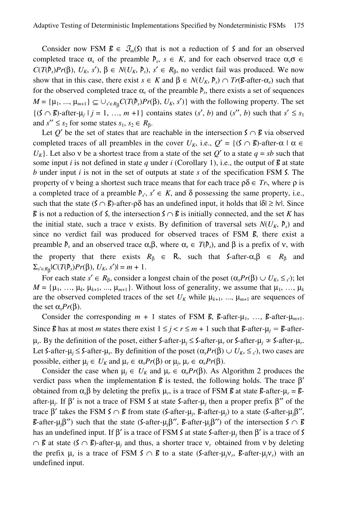Consider now FSM  $\mathcal{B} \in \mathcal{S}_m(\mathcal{S})$  that is not a reduction of  $\mathcal{S}$  and for an observed completed trace  $\alpha_s$  of the preamble  $\beta_s$ ,  $s \in K$ , and for each observed trace  $\alpha_s \sigma \in$  $C(T(\mathcal{P}_s)Pr(\beta), U_K, s')$ ,  $\beta \in N(U_K, \mathcal{P}_s)$ ,  $s' \in R_\beta$ , no verdict fail was produced. We now show that in this case, there exist  $s \in K$  and  $\beta \in N(U_K, \mathcal{P}_s) \cap Tr(\mathcal{B}\text{-after-}\alpha_s)$  such that for the observed completed trace  $\alpha_s$  of the preamble  $\beta_s$ , there exists a set of sequences  $M = {\mu_1, ..., \mu_{m+1}} \subseteq \bigcup_{s' \in R} C(T(\mathcal{P}_s)Pr(\mathcal{B}), U_K, s')$  with the following property. The set  $\{(\mathcal{S} \cap \mathcal{B})\text{-after-}\mu_i \mid j = 1, ..., m+1\}$  contains states  $(s', b)$  and  $(s'', b)$  such that  $s' \leq s_1$ and  $s'' \leq s_2$  for some states  $s_1, s_2 \in R_\beta$ .

Let  $Q'$  be the set of states that are reachable in the intersection  $\zeta \cap B$  via observed completed traces of all preambles in the cover *U<sub>K</sub>*, i.e.,  $Q' = \{ (\mathbf{S} \cap \mathbf{B})\}$ -after-α  $\mid \alpha \in \mathbb{R}$  $U_K$ . Let also v be a shortest trace from a state of the set *Q'* to a state  $q = sb$  such that some input *i* is not defined in state  $q$  under  $i$  (Corollary 1), i.e., the output of  $\beta$  at state *b* under input *i* is not in the set of outputs at state *s* of the specification FSM S. The property of v being a shortest such trace means that for each trace  $\rho \delta \in Tr_S$ , where  $\rho$  is a completed trace of a preamble  $P_s$ ,  $s' \in K$ , and  $\delta$  possessing the same property, i.e., such that the state ( $S \cap B$ )-after- $\rho \delta$  has an undefined input, it holds that  $|\delta| \ge |v|$ . Since B is not a reduction of S, the intersection  $S \cap B$  is initially connected, and the set K has the initial state, such a trace v exists. By definition of traversal sets  $N(U_K, \mathcal{P}_s)$  and since no verdict fail was produced for observed traces of FSM B, there exist a preamble  $P_s$  and an observed trace  $\alpha_s\beta$ , where  $\alpha_s \in T(P_s)$ , and  $\beta$  is a prefix of v, with the property that there exists  $R_\beta \in \mathbb{R}_5$ , such that  $\beta$ -after- $\alpha_s \beta \in R_\beta$  and  $\Sigma$ <sub>*s*′∈*R*β</sub> $|C(T(P<sub>s</sub>)Pr(\beta), U<sub>K</sub>, s')| = m + 1.$ 

For each state  $s' \in R_\beta$ , consider a longest chain of the poset  $(\alpha_s Pr(\beta) \cup U_K, \leq s)$ ; let  $M = {\mu_1, ..., \mu_k, \mu_{k+1}, ..., \mu_{m+1}}$ . Without loss of generality, we assume that  $\mu_1, ..., \mu_k$ are the observed completed traces of the set  $U_K$  while  $\mu_{k+1}$ , ...,  $\mu_{m+1}$  are sequences of the set  $\alpha_s Pr(\beta)$ .

Consider the corresponding  $m + 1$  states of FSM  $\beta$ ,  $\beta$ -after- $\mu_1$ , ...,  $\beta$ -after- $\mu_{m+1}$ . Since **B** has at most *m* states there exist  $1 \leq j < r \leq m + 1$  such that **B**-after- $\mu_j = \beta$ -afterμ*r*. By the definition of the poset, either S-after-μ*<sup>j</sup>* ≤ S-after-μ*r* or S-after-μ*<sup>j</sup>* ≄ S-after-μ*r*. Let S-after- $\mu_j \leq$  S-after- $\mu_r$ . By definition of the poset  $(\alpha_s Pr(\beta) \cup U_K, \leq_s)$ , two cases are possible, either  $\mu_i \in U_K$  and  $\mu_r \in \alpha_s Pr(\beta)$  or  $\mu_i$ ,  $\mu_r \in \alpha_s Pr(\beta)$ .

Consider the case when  $\mu_i \in U_K$  and  $\mu_r \in \alpha_s Pr(\beta)$ . As Algorithm 2 produces the verdict pass when the implementation  $\beta$  is tested, the following holds. The trace β' obtained from α*s*β by deleting the prefix μ*r*, is a trace of FSM B at state B-after-μ*r* = Bafter-μ*j*. If β′ is not a trace of FSM S at state S-after-μ*j* then a proper prefix β′′ of the trace β′ takes the FSM S ∩ B from state (S-after-μ*j*, B-after-μ*j*) to a state (S-after-μ*j*β′′, B-after-μ*j*β′′) such that the state (S-after-μ*j*β′′, B-after-μ*j*β′′) of the intersection S ∩ B has an undefined input. If β′ is a trace of FSM S at state S-after-μ*j* then β′ is a trace of S ∩ B at state (S ∩ B)-after-μ*j* and thus, a shorter trace ν*<sup>r</sup>* obtained from ν by deleting the prefix  $\mu_r$  is a trace of FSM  $\zeta \cap \zeta$  to a state (S-after- $\mu_i v_r$ ,  $\zeta$ -after- $\mu_i v_r$ ) with an undefined input.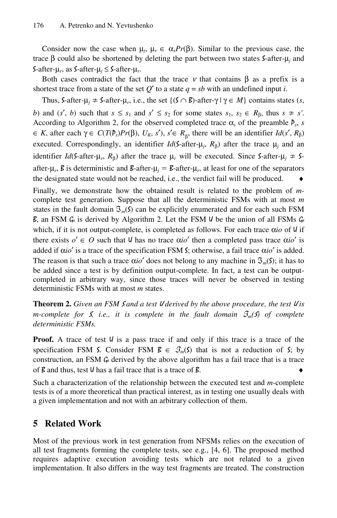Consider now the case when  $\mu_i$ ,  $\mu_r \in \alpha_s Pr(\beta)$ . Similar to the previous case, the trace β could also be shortened by deleting the part between two states S-after-μ*j* and S-after-μ*r*, as S-after-μ*<sup>j</sup>* ≤ S-after-μ*r*.

Both cases contradict the fact that the trace  $\nu$  that contains  $\beta$  as a prefix is a shortest trace from a state of the set  $Q'$  to a state  $q = sb$  with an undefined input *i*.

Thus, S-after-μ*<sup>j</sup>* ≄ S-after-μ*r*, i.e., the set {(S ∩ B)-after-γ | γ ∈ *M*} contains states (*s*, *b*) and  $(s', b)$  such that  $s \leq s_1$  and  $s' \leq s_2$  for some states  $s_1, s_2 \in R_\beta$ , thus  $s \neq s'$ . According to Algorithm 2, for the observed completed trace  $\alpha_s$  of the preamble  $P_s$ , *s*  $\in K$ , after each  $\gamma \in C(T(\mathcal{P}_s)Pr(\mathcal{B}), U_K, s')$ ,  $s' \in R_\mathcal{P}$ , there will be an identifier  $Id(s', R_\mathcal{B})$ executed. Correspondingly, an identifier  $Id$ (S-after- $\mu_j$ ,  $R_\beta$ ) after the trace  $\mu_j$  and an identifier *Id*(S-after-μ<sub>*r*</sub>,  $R_β$ ) after the trace μ<sub>*r*</sub> will be executed. Since S-after-μ<sub>*j*</sub>  $\neq$  Safter-μ*r*, B is deterministic and B-after-μ*<sup>j</sup>* = B-after-μ*r*, at least for one of the separators the designated state would not be reached, i.e., the verdict fail will be produced. Finally, we demonstrate how the obtained result is related to the problem of *m*complete test generation. Suppose that all the deterministic FSMs with at most *m* states in the fault domain  $\mathfrak{S}_m(\mathfrak{S})$  can be explicitly enumerated and for each such FSM **B**, an FSM  $G_{\text{B}}$  is derived by Algorithm 2. Let the FSM U be the union of all FSMs  $G_{\text{B}}$ which, if it is not output-complete, is completed as follows. For each trace α*io* of U if there exists  $o' \in O$  such that U has no trace  $\alpha i o'$  then a completed pass trace  $\alpha i o'$  is added if α*io*′ is a trace of the specification FSM S; otherwise, a fail trace α*io*′ is added. The reason is that such a trace  $\alpha i \circ \alpha'$  does not belong to any machine in  $\mathfrak{S}_m(\mathcal{S})$ ; it has to be added since a test is by definition output-complete. In fact, a test can be outputcompleted in arbitrary way, since those traces will never be observed in testing deterministic FSMs with at most *m* states.

**Theorem 2.** Given an FSM **S** and a test *U* derived by the above procedure, the test *U* is *m*-complete for  $\zeta$  *i.e., it is complete in the fault domain*  $\mathcal{F}_m(\zeta)$  of complete *deterministic FSMs.*

**Proof.** A trace of test  $V$  is a pass trace if and only if this trace is a trace of the specification FSM S. Consider FSM  $\mathcal{B} \in \mathcal{S}_m(\mathcal{S})$  that is not a reduction of S; by construction, an FSM  $G_{\rm B}$  derived by the above algorithm has a fail trace that is a trace of  $\beta$  and thus, test U has a fail trace that is a trace of  $\beta$ .

Such a characterization of the relationship between the executed test and *m*-complete tests is of a more theoretical than practical interest, as in testing one usually deals with a given implementation and not with an arbitrary collection of them.

# **5 Related Work**

Most of the previous work in test generation from NFSMs relies on the execution of all test fragments forming the complete tests, see e.g., [4, 6]. The proposed method requires adaptive execution avoiding tests which are not related to a given implementation. It also differs in the way test fragments are treated. The construction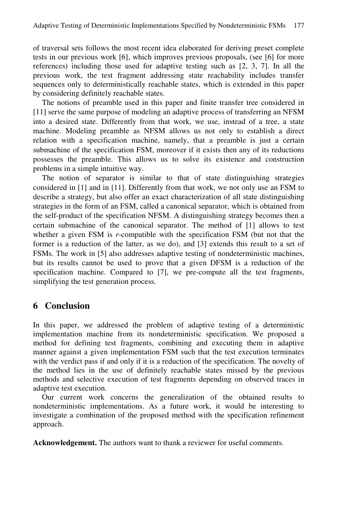of traversal sets follows the most recent idea elaborated for deriving preset complete tests in our previous work [6], which improves previous proposals, (see [6] for more references) including those used for adaptive testing such as [2, 3, 7]. In all the previous work, the test fragment addressing state reachability includes transfer sequences only to deterministically reachable states, which is extended in this paper by considering definitely reachable states.

The notions of preamble used in this paper and finite transfer tree considered in [11] serve the same purpose of modeling an adaptive process of transferring an NFSM into a desired state. Differently from that work, we use, instead of a tree, a state machine. Modeling preamble as NFSM allows us not only to establish a direct relation with a specification machine, namely, that a preamble is just a certain submachine of the specification FSM, moreover if it exists then any of its reductions possesses the preamble. This allows us to solve its existence and construction problems in a simple intuitive way.

The notion of separator is similar to that of state distinguishing strategies considered in [1] and in [11]. Differently from that work, we not only use an FSM to describe a strategy, but also offer an exact characterization of all state distinguishing strategies in the form of an FSM, called a canonical separator, which is obtained from the self-product of the specification NFSM. A distinguishing strategy becomes then a certain submachine of the canonical separator. The method of [1] allows to test whether a given FSM is *r*-compatible with the specification FSM (but not that the former is a reduction of the latter, as we do), and [3] extends this result to a set of FSMs. The work in [5] also addresses adaptive testing of nondeterministic machines, but its results cannot be used to prove that a given DFSM is a reduction of the specification machine. Compared to [7], we pre-compute all the test fragments, simplifying the test generation process.

### **6 Conclusion**

In this paper, we addressed the problem of adaptive testing of a deterministic implementation machine from its nondeterministic specification. We proposed a method for defining test fragments, combining and executing them in adaptive manner against a given implementation FSM such that the test execution terminates with the verdict pass if and only if it is a reduction of the specification. The novelty of the method lies in the use of definitely reachable states missed by the previous methods and selective execution of test fragments depending on observed traces in adaptive test execution.

Our current work concerns the generalization of the obtained results to nondeterministic implementations. As a future work, it would be interesting to investigate a combination of the proposed method with the specification refinement approach.

**Acknowledgement.** The authors want to thank a reviewer for useful comments.